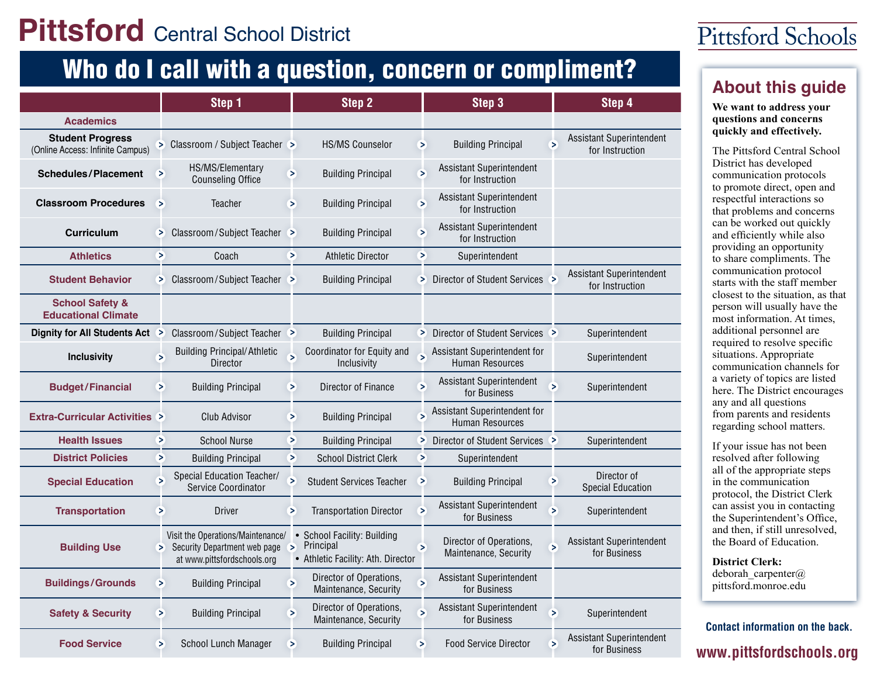## **Pittsford** Central School District

# Who do I call with a question, concern or compliment?<br><u>About this quide</u>

|                                                             |   | Step 1                                                                                           |                          | Step 2                                                                         |        | Step 3                                                 |        | Step 4                                      |
|-------------------------------------------------------------|---|--------------------------------------------------------------------------------------------------|--------------------------|--------------------------------------------------------------------------------|--------|--------------------------------------------------------|--------|---------------------------------------------|
| <b>Academics</b>                                            |   |                                                                                                  |                          |                                                                                |        |                                                        |        |                                             |
| <b>Student Progress</b><br>(Online Access: Infinite Campus) |   | > Classroom / Subject Teacher >                                                                  |                          | <b>HS/MS Counselor</b>                                                         | $\geq$ | <b>Building Principal</b>                              | $\geq$ | Assistant Superintendent<br>for Instruction |
| <b>Schedules/Placement</b>                                  | ⋝ | HS/MS/Elementary<br><b>Counseling Office</b>                                                     | Б                        | <b>Building Principal</b>                                                      | ⋝      | Assistant Superintendent<br>for Instruction            |        |                                             |
| <b>Classroom Procedures</b>                                 | ⋝ | Teacher                                                                                          | ×                        | <b>Building Principal</b>                                                      | ×      | Assistant Superintendent<br>for Instruction            |        |                                             |
| <b>Curriculum</b>                                           | × | Classroom/Subject Teacher                                                                        |                          | <b>Building Principal</b>                                                      | ⋗      | <b>Assistant Superintendent</b><br>for Instruction     |        |                                             |
| <b>Athletics</b>                                            | × | Coach                                                                                            | $\geq$                   | <b>Athletic Director</b>                                                       | Σ      | Superintendent                                         |        |                                             |
| <b>Student Behavior</b>                                     |   | > Classroom/Subject Teacher >                                                                    |                          | <b>Building Principal</b>                                                      |        | > Director of Student Services >                       |        | Assistant Superintendent<br>for Instruction |
| <b>School Safety &amp;</b><br><b>Educational Climate</b>    |   |                                                                                                  |                          |                                                                                |        |                                                        |        |                                             |
| Dignity for All Students Act >                              |   | Classroom/Subject Teacher >                                                                      |                          | <b>Building Principal</b>                                                      |        | > Director of Student Services >                       |        | Superintendent                              |
| <b>Inclusivity</b>                                          | ⋝ | <b>Building Principal/Athletic</b><br><b>Director</b>                                            | ⋝                        | Coordinator for Equity and<br>Inclusivity                                      | Б      | Assistant Superintendent for<br>Human Resources        |        | Superintendent                              |
| <b>Budget/Financial</b>                                     | ⋗ | <b>Building Principal</b>                                                                        | ×                        | Director of Finance                                                            | ⋝      | <b>Assistant Superintendent</b><br>for Business        | Б      | Superintendent                              |
| <b>Extra-Curricular Activities &gt;</b>                     |   | <b>Club Advisor</b>                                                                              | ×                        | <b>Building Principal</b>                                                      | Б      | Assistant Superintendent for<br><b>Human Resources</b> |        |                                             |
| <b>Health Issues</b>                                        | ⋝ | <b>School Nurse</b>                                                                              | ⋗                        | <b>Building Principal</b>                                                      | ×.     | Director of Student Services                           |        | Superintendent                              |
| <b>District Policies</b>                                    | ⋗ | <b>Building Principal</b>                                                                        | ⋗                        | <b>School District Clerk</b>                                                   | ×      | Superintendent                                         |        |                                             |
| <b>Special Education</b>                                    | Б | Special Education Teacher/<br>Service Coordinator                                                | Б                        | <b>Student Services Teacher</b>                                                | ⋗      | <b>Building Principal</b>                              | ⋗      | Director of<br><b>Special Education</b>     |
| <b>Transportation</b>                                       | ⋗ | <b>Driver</b>                                                                                    | ⋗                        | <b>Transportation Director</b>                                                 | ⋝      | Assistant Superintendent<br>for Business               | Б      | Superintendent                              |
| <b>Building Use</b>                                         | × | Visit the Operations/Maintenance/<br>Security Department web page<br>at www.pittsfordschools.org | $\geq$                   | • School Facility: Building<br>Principal<br>• Athletic Facility: Ath. Director | ⋝      | Director of Operations,<br>Maintenance, Security       |        | Assistant Superintendent<br>for Business    |
| <b>Buildings/Grounds</b>                                    | ⋗ | <b>Building Principal</b>                                                                        | $\overline{\phantom{1}}$ | Director of Operations,<br>Maintenance, Security                               | Б      | Assistant Superintendent<br>for Business               |        |                                             |
| <b>Safety &amp; Security</b>                                | ⋗ | <b>Building Principal</b>                                                                        | $\geq$                   | Director of Operations,<br>Maintenance, Security                               | Б      | Assistant Superintendent<br>for Business               | ⋝      | Superintendent                              |
| <b>Food Service</b>                                         | ⋗ | School Lunch Manager                                                                             | ⋗                        | <b>Building Principal</b>                                                      | ⋝      | <b>Food Service Director</b>                           | 5      | Assistant Superintendent<br>for Business    |

### Pittsford Schools

#### **We want to address your questions and concerns quickly and effectively.**

The Pittsford Central School District has developed communication protocols to promote direct, open and respectful interactions so that problems and concerns can be worked out quickly and efficiently while also providing an opportunity to share compliments. The communication protocol starts with the staff member closest to the situation, as that person will usually have the most information. At times, additional personnel are required to resolve specific situations. Appropriate communication channels for a variety of topics are listed here. The District encourages any and all questions from parents and residents regarding school matters.

If your issue has not been resolved after following all of the appropriate steps in the communication protocol, the District Clerk can assist you in contacting the Superintendent's Office, and then, if still unresolved, the Board of Education.

**District Clerk:** deborah carpenter@ pittsford.monroe.edu

www.pittsfordschools.org **Contact information on the back.**